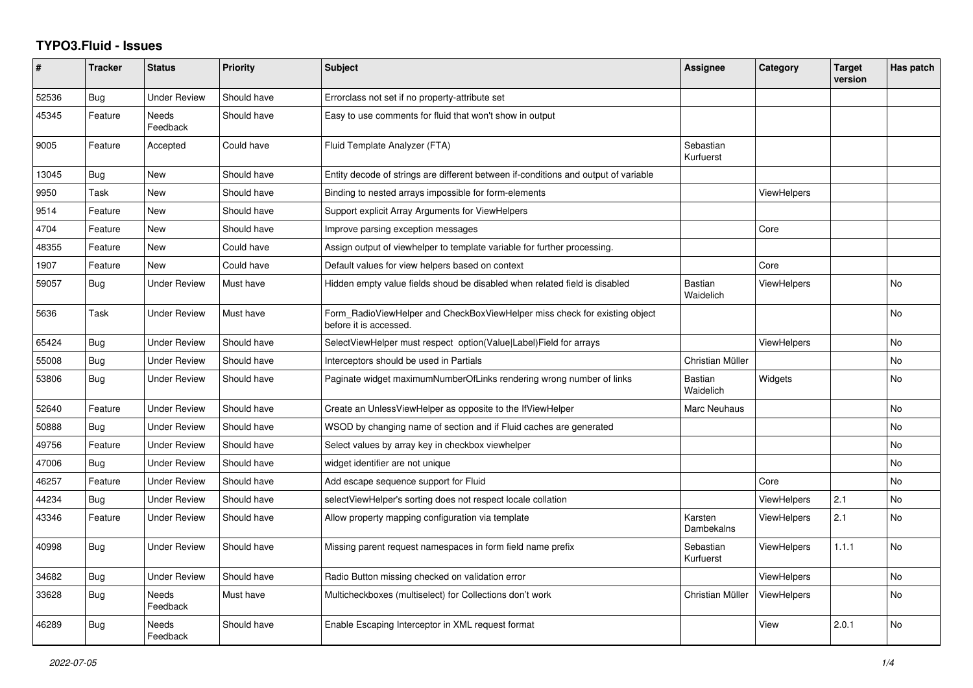## **TYPO3.Fluid - Issues**

| #     | <b>Tracker</b> | <b>Status</b>       | <b>Priority</b> | <b>Subject</b>                                                                                       | <b>Assignee</b>             | Category           | <b>Target</b><br>version | Has patch |
|-------|----------------|---------------------|-----------------|------------------------------------------------------------------------------------------------------|-----------------------------|--------------------|--------------------------|-----------|
| 52536 | Bug            | Under Review        | Should have     | Errorclass not set if no property-attribute set                                                      |                             |                    |                          |           |
| 45345 | Feature        | Needs<br>Feedback   | Should have     | Easy to use comments for fluid that won't show in output                                             |                             |                    |                          |           |
| 9005  | Feature        | Accepted            | Could have      | Fluid Template Analyzer (FTA)                                                                        | Sebastian<br>Kurfuerst      |                    |                          |           |
| 13045 | <b>Bug</b>     | New                 | Should have     | Entity decode of strings are different between if-conditions and output of variable                  |                             |                    |                          |           |
| 9950  | Task           | New                 | Should have     | Binding to nested arrays impossible for form-elements                                                |                             | <b>ViewHelpers</b> |                          |           |
| 9514  | Feature        | <b>New</b>          | Should have     | Support explicit Array Arguments for ViewHelpers                                                     |                             |                    |                          |           |
| 4704  | Feature        | New                 | Should have     | Improve parsing exception messages                                                                   |                             | Core               |                          |           |
| 48355 | Feature        | New                 | Could have      | Assign output of viewhelper to template variable for further processing.                             |                             |                    |                          |           |
| 1907  | Feature        | <b>New</b>          | Could have      | Default values for view helpers based on context                                                     |                             | Core               |                          |           |
| 59057 | <b>Bug</b>     | <b>Under Review</b> | Must have       | Hidden empty value fields shoud be disabled when related field is disabled                           | <b>Bastian</b><br>Waidelich | <b>ViewHelpers</b> |                          | <b>No</b> |
| 5636  | Task           | Under Review        | Must have       | Form_RadioViewHelper and CheckBoxViewHelper miss check for existing object<br>before it is accessed. |                             |                    |                          | <b>No</b> |
| 65424 | Bug            | Under Review        | Should have     | SelectViewHelper must respect option(Value Label)Field for arrays                                    |                             | <b>ViewHelpers</b> |                          | No        |
| 55008 | Bug            | <b>Under Review</b> | Should have     | Interceptors should be used in Partials                                                              | Christian Müller            |                    |                          | <b>No</b> |
| 53806 | Bug            | Under Review        | Should have     | Paginate widget maximumNumberOfLinks rendering wrong number of links                                 | <b>Bastian</b><br>Waidelich | Widgets            |                          | No        |
| 52640 | Feature        | <b>Under Review</b> | Should have     | Create an UnlessViewHelper as opposite to the IfViewHelper                                           | <b>Marc Neuhaus</b>         |                    |                          | <b>No</b> |
| 50888 | Bug            | <b>Under Review</b> | Should have     | WSOD by changing name of section and if Fluid caches are generated                                   |                             |                    |                          | <b>No</b> |
| 49756 | Feature        | <b>Under Review</b> | Should have     | Select values by array key in checkbox viewhelper                                                    |                             |                    |                          | <b>No</b> |
| 47006 | <b>Bug</b>     | <b>Under Review</b> | Should have     | widget identifier are not unique                                                                     |                             |                    |                          | No        |
| 46257 | Feature        | <b>Under Review</b> | Should have     | Add escape sequence support for Fluid                                                                |                             | Core               |                          | <b>No</b> |
| 44234 | Bug            | Under Review        | Should have     | selectViewHelper's sorting does not respect locale collation                                         |                             | <b>ViewHelpers</b> | 2.1                      | No        |
| 43346 | Feature        | <b>Under Review</b> | Should have     | Allow property mapping configuration via template                                                    | Karsten<br>Dambekalns       | <b>ViewHelpers</b> | 2.1                      | <b>No</b> |
| 40998 | Bug            | <b>Under Review</b> | Should have     | Missing parent request namespaces in form field name prefix                                          | Sebastian<br>Kurfuerst      | ViewHelpers        | 1.1.1                    | <b>No</b> |
| 34682 | Bug            | <b>Under Review</b> | Should have     | Radio Button missing checked on validation error                                                     |                             | <b>ViewHelpers</b> |                          | <b>No</b> |
| 33628 | Bug            | Needs<br>Feedback   | Must have       | Multicheckboxes (multiselect) for Collections don't work                                             | Christian Müller            | ViewHelpers        |                          | No        |
| 46289 | <b>Bug</b>     | Needs<br>Feedback   | Should have     | Enable Escaping Interceptor in XML request format                                                    |                             | View               | 2.0.1                    | <b>No</b> |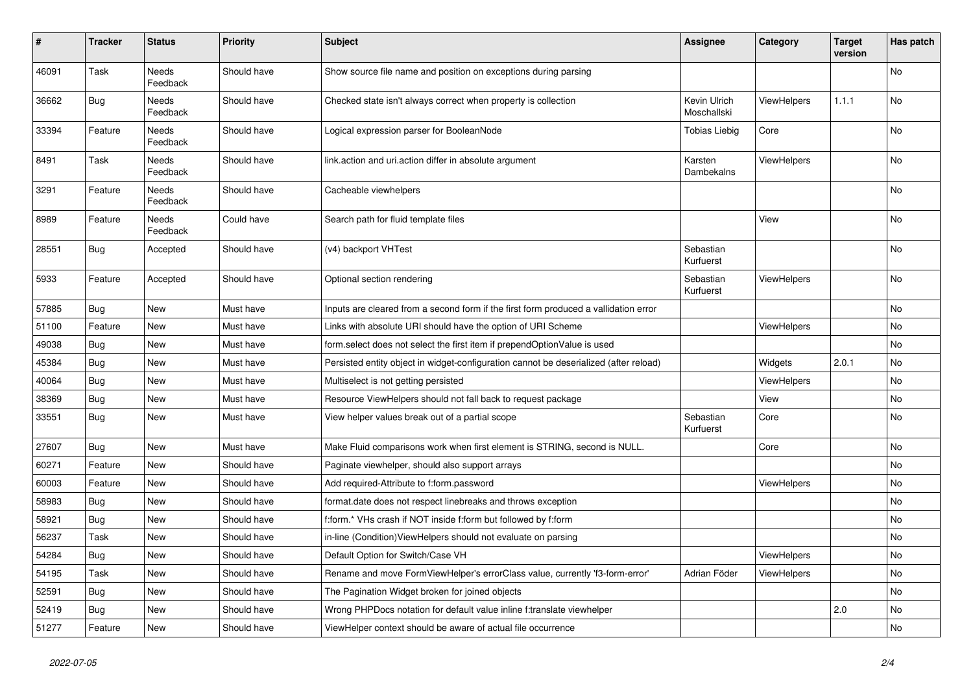| #     | <b>Tracker</b> | <b>Status</b>            | <b>Priority</b> | <b>Subject</b>                                                                        | <b>Assignee</b>             | Category           | <b>Target</b><br>version | Has patch      |
|-------|----------------|--------------------------|-----------------|---------------------------------------------------------------------------------------|-----------------------------|--------------------|--------------------------|----------------|
| 46091 | Task           | <b>Needs</b><br>Feedback | Should have     | Show source file name and position on exceptions during parsing                       |                             |                    |                          | <b>No</b>      |
| 36662 | Bug            | Needs<br>Feedback        | Should have     | Checked state isn't always correct when property is collection                        | Kevin Ulrich<br>Moschallski | <b>ViewHelpers</b> | 1.1.1                    | No             |
| 33394 | Feature        | Needs<br>Feedback        | Should have     | Logical expression parser for BooleanNode                                             | Tobias Liebig               | Core               |                          | <b>No</b>      |
| 8491  | Task           | <b>Needs</b><br>Feedback | Should have     | link.action and uri.action differ in absolute argument                                | Karsten<br>Dambekalns       | <b>ViewHelpers</b> |                          | <b>No</b>      |
| 3291  | Feature        | Needs<br>Feedback        | Should have     | Cacheable viewhelpers                                                                 |                             |                    |                          | No             |
| 8989  | Feature        | Needs<br>Feedback        | Could have      | Search path for fluid template files                                                  |                             | View               |                          | No             |
| 28551 | Bug            | Accepted                 | Should have     | (v4) backport VHTest                                                                  | Sebastian<br>Kurfuerst      |                    |                          | <b>No</b>      |
| 5933  | Feature        | Accepted                 | Should have     | Optional section rendering                                                            | Sebastian<br>Kurfuerst      | <b>ViewHelpers</b> |                          | <b>No</b>      |
| 57885 | <b>Bug</b>     | New                      | Must have       | Inputs are cleared from a second form if the first form produced a vallidation error  |                             |                    |                          | No             |
| 51100 | Feature        | New                      | Must have       | Links with absolute URI should have the option of URI Scheme                          |                             | <b>ViewHelpers</b> |                          | <b>No</b>      |
| 49038 | <b>Bug</b>     | New                      | Must have       | form select does not select the first item if prependOptionValue is used              |                             |                    |                          | <b>No</b>      |
| 45384 | Bug            | New                      | Must have       | Persisted entity object in widget-configuration cannot be deserialized (after reload) |                             | Widgets            | 2.0.1                    | No             |
| 40064 | Bug            | New                      | Must have       | Multiselect is not getting persisted                                                  |                             | <b>ViewHelpers</b> |                          | No             |
| 38369 | Bug            | New                      | Must have       | Resource ViewHelpers should not fall back to request package                          |                             | View               |                          | No             |
| 33551 | Bug            | New                      | Must have       | View helper values break out of a partial scope                                       | Sebastian<br>Kurfuerst      | Core               |                          | No             |
| 27607 | Bug            | New                      | Must have       | Make Fluid comparisons work when first element is STRING, second is NULL.             |                             | Core               |                          | <b>No</b>      |
| 60271 | Feature        | New                      | Should have     | Paginate viewhelper, should also support arrays                                       |                             |                    |                          | <b>No</b>      |
| 60003 | Feature        | <b>New</b>               | Should have     | Add required-Attribute to f:form.password                                             |                             | <b>ViewHelpers</b> |                          | <b>No</b>      |
| 58983 | <b>Bug</b>     | New                      | Should have     | format.date does not respect linebreaks and throws exception                          |                             |                    |                          | N <sub>o</sub> |
| 58921 | Bug            | <b>New</b>               | Should have     | f:form.* VHs crash if NOT inside f:form but followed by f:form                        |                             |                    |                          | <b>No</b>      |
| 56237 | Task           | <b>New</b>               | Should have     | in-line (Condition) View Helpers should not evaluate on parsing                       |                             |                    |                          | <b>No</b>      |
| 54284 | Bug            | New                      | Should have     | Default Option for Switch/Case VH                                                     |                             | <b>ViewHelpers</b> |                          | No             |
| 54195 | Task           | New                      | Should have     | Rename and move FormViewHelper's errorClass value, currently 'f3-form-error'          | Adrian Föder                | ViewHelpers        |                          | <b>No</b>      |
| 52591 | Bug            | <b>New</b>               | Should have     | The Pagination Widget broken for joined objects                                       |                             |                    |                          | <b>No</b>      |
| 52419 | Bug            | New                      | Should have     | Wrong PHPDocs notation for default value inline f:translate viewhelper                |                             |                    | 2.0                      | <b>No</b>      |
| 51277 | Feature        | <b>New</b>               | Should have     | ViewHelper context should be aware of actual file occurrence                          |                             |                    |                          | No             |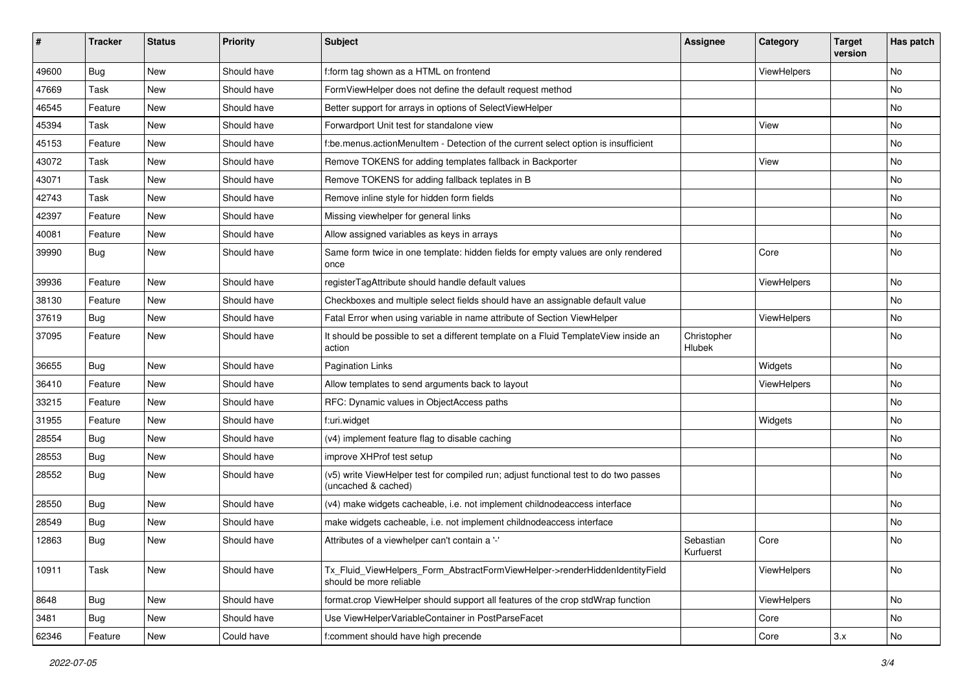| ∦     | <b>Tracker</b> | <b>Status</b> | <b>Priority</b> | <b>Subject</b>                                                                                              | Assignee               | Category    | <b>Target</b><br>version | Has patch |
|-------|----------------|---------------|-----------------|-------------------------------------------------------------------------------------------------------------|------------------------|-------------|--------------------------|-----------|
| 49600 | Bug            | New           | Should have     | f:form tag shown as a HTML on frontend                                                                      |                        | ViewHelpers |                          | No        |
| 47669 | Task           | New           | Should have     | FormViewHelper does not define the default request method                                                   |                        |             |                          | No        |
| 46545 | Feature        | New           | Should have     | Better support for arrays in options of SelectViewHelper                                                    |                        |             |                          | No        |
| 45394 | Task           | New           | Should have     | Forwardport Unit test for standalone view                                                                   |                        | View        |                          | No        |
| 45153 | Feature        | New           | Should have     | f:be.menus.actionMenuItem - Detection of the current select option is insufficient                          |                        |             |                          | No        |
| 43072 | Task           | New           | Should have     | Remove TOKENS for adding templates fallback in Backporter                                                   |                        | View        |                          | No        |
| 43071 | Task           | New           | Should have     | Remove TOKENS for adding fallback teplates in B                                                             |                        |             |                          | No        |
| 42743 | Task           | New           | Should have     | Remove inline style for hidden form fields                                                                  |                        |             |                          | No        |
| 42397 | Feature        | New           | Should have     | Missing viewhelper for general links                                                                        |                        |             |                          | No        |
| 40081 | Feature        | New           | Should have     | Allow assigned variables as keys in arrays                                                                  |                        |             |                          | No        |
| 39990 | <b>Bug</b>     | New           | Should have     | Same form twice in one template: hidden fields for empty values are only rendered<br>once                   |                        | Core        |                          | No        |
| 39936 | Feature        | New           | Should have     | registerTagAttribute should handle default values                                                           |                        | ViewHelpers |                          | No        |
| 38130 | Feature        | <b>New</b>    | Should have     | Checkboxes and multiple select fields should have an assignable default value                               |                        |             |                          | No        |
| 37619 | Bug            | New           | Should have     | Fatal Error when using variable in name attribute of Section ViewHelper                                     |                        | ViewHelpers |                          | No        |
| 37095 | Feature        | New           | Should have     | It should be possible to set a different template on a Fluid TemplateView inside an<br>action               | Christopher<br>Hlubek  |             |                          | No        |
| 36655 | Bug            | New           | Should have     | Pagination Links                                                                                            |                        | Widgets     |                          | No        |
| 36410 | Feature        | New           | Should have     | Allow templates to send arguments back to layout                                                            |                        | ViewHelpers |                          | No        |
| 33215 | Feature        | New           | Should have     | RFC: Dynamic values in ObjectAccess paths                                                                   |                        |             |                          | No        |
| 31955 | Feature        | New           | Should have     | f:uri.widget                                                                                                |                        | Widgets     |                          | No        |
| 28554 | Bug            | New           | Should have     | (v4) implement feature flag to disable caching                                                              |                        |             |                          | No        |
| 28553 | <b>Bug</b>     | New           | Should have     | improve XHProf test setup                                                                                   |                        |             |                          | No        |
| 28552 | <b>Bug</b>     | New           | Should have     | (v5) write ViewHelper test for compiled run; adjust functional test to do two passes<br>(uncached & cached) |                        |             |                          | No        |
| 28550 | Bug            | New           | Should have     | (v4) make widgets cacheable, i.e. not implement childnodeaccess interface                                   |                        |             |                          | No        |
| 28549 | Bug            | New           | Should have     | make widgets cacheable, i.e. not implement childnodeaccess interface                                        |                        |             |                          | No        |
| 12863 | Bug            | New           | Should have     | Attributes of a viewhelper can't contain a '-'                                                              | Sebastian<br>Kurfuerst | Core        |                          | No        |
| 10911 | Task           | New           | Should have     | Tx_Fluid_ViewHelpers_Form_AbstractFormViewHelper->renderHiddenIdentityField<br>should be more reliable      |                        | ViewHelpers |                          | No        |
| 8648  | <b>Bug</b>     | New           | Should have     | format.crop ViewHelper should support all features of the crop stdWrap function                             |                        | ViewHelpers |                          | No        |
| 3481  | <b>Bug</b>     | New           | Should have     | Use ViewHelperVariableContainer in PostParseFacet                                                           |                        | Core        |                          | No        |
| 62346 | Feature        | New           | Could have      | f:comment should have high precende                                                                         |                        | Core        | 3.x                      | No        |